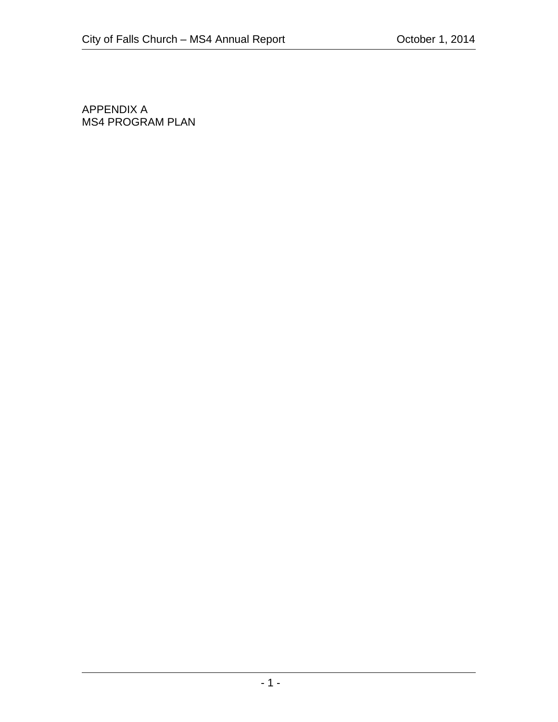APPENDIX A MS4 PROGRAM PLAN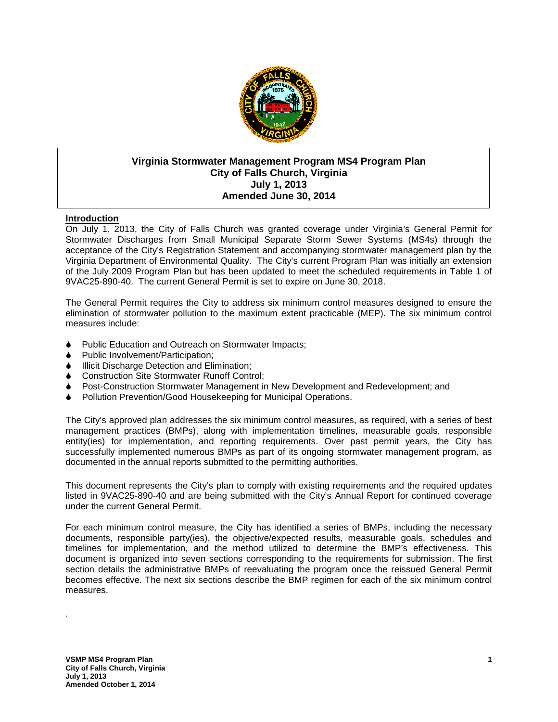

## **Virginia Stormwater Management Program MS4 Program Plan City of Falls Church, Virginia July 1, 2013 Amended June 30, 2014**

## **Introduction**

On July 1, 2013, the City of Falls Church was granted coverage under Virginia's General Permit for Stormwater Discharges from Small Municipal Separate Storm Sewer Systems (MS4s) through the acceptance of the City's Registration Statement and accompanying stormwater management plan by the Virginia Department of Environmental Quality. The City's current Program Plan was initially an extension of the July 2009 Program Plan but has been updated to meet the scheduled requirements in Table 1 of 9VAC25-890-40. The current General Permit is set to expire on June 30, 2018.

The General Permit requires the City to address six minimum control measures designed to ensure the elimination of stormwater pollution to the maximum extent practicable (MEP). The six minimum control measures include:

- ♦ Public Education and Outreach on Stormwater Impacts;
- ♦ Public Involvement/Participation;
- Illicit Discharge Detection and Elimination;
- ♦ Construction Site Stormwater Runoff Control;
- ♦ Post-Construction Stormwater Management in New Development and Redevelopment; and
- ♦ Pollution Prevention/Good Housekeeping for Municipal Operations.

The City's approved plan addresses the six minimum control measures, as required, with a series of best management practices (BMPs), along with implementation timelines, measurable goals, responsible entity(ies) for implementation, and reporting requirements. Over past permit years, the City has successfully implemented numerous BMPs as part of its ongoing stormwater management program, as documented in the annual reports submitted to the permitting authorities.

This document represents the City's plan to comply with existing requirements and the required updates listed in 9VAC25-890-40 and are being submitted with the City's Annual Report for continued coverage under the current General Permit.

For each minimum control measure, the City has identified a series of BMPs, including the necessary documents, responsible party(ies), the objective/expected results, measurable goals, schedules and timelines for implementation, and the method utilized to determine the BMP's effectiveness. This document is organized into seven sections corresponding to the requirements for submission. The first section details the administrative BMPs of reevaluating the program once the reissued General Permit becomes effective. The next six sections describe the BMP regimen for each of the six minimum control measures.

.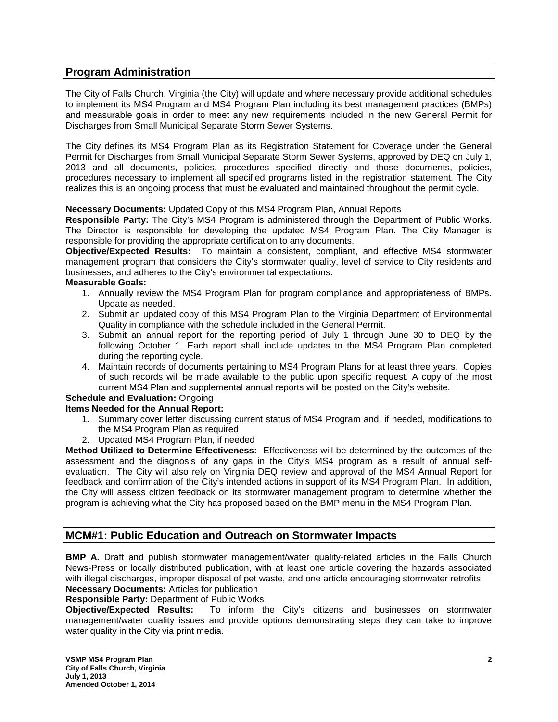## **Program Administration**

The City of Falls Church, Virginia (the City) will update and where necessary provide additional schedules to implement its MS4 Program and MS4 Program Plan including its best management practices (BMPs) and measurable goals in order to meet any new requirements included in the new General Permit for Discharges from Small Municipal Separate Storm Sewer Systems.

The City defines its MS4 Program Plan as its Registration Statement for Coverage under the General Permit for Discharges from Small Municipal Separate Storm Sewer Systems, approved by DEQ on July 1, 2013 and all documents, policies, procedures specified directly and those documents, policies, procedures necessary to implement all specified programs listed in the registration statement. The City realizes this is an ongoing process that must be evaluated and maintained throughout the permit cycle.

### **Necessary Documents:** Updated Copy of this MS4 Program Plan, Annual Reports

**Responsible Party:** The City's MS4 Program is administered through the Department of Public Works. The Director is responsible for developing the updated MS4 Program Plan. The City Manager is responsible for providing the appropriate certification to any documents.

**Objective/Expected Results:** To maintain a consistent, compliant, and effective MS4 stormwater management program that considers the City's stormwater quality, level of service to City residents and businesses, and adheres to the City's environmental expectations.

#### **Measurable Goals:**

- 1. Annually review the MS4 Program Plan for program compliance and appropriateness of BMPs. Update as needed.
- 2. Submit an updated copy of this MS4 Program Plan to the Virginia Department of Environmental Quality in compliance with the schedule included in the General Permit.
- 3. Submit an annual report for the reporting period of July 1 through June 30 to DEQ by the following October 1. Each report shall include updates to the MS4 Program Plan completed during the reporting cycle.
- 4. Maintain records of documents pertaining to MS4 Program Plans for at least three years. Copies of such records will be made available to the public upon specific request. A copy of the most current MS4 Plan and supplemental annual reports will be posted on the City's website.

#### **Schedule and Evaluation:** Ongoing **Items Needed for the Annual Report:**

- 1. Summary cover letter discussing current status of MS4 Program and, if needed, modifications to the MS4 Program Plan as required
- 2. Updated MS4 Program Plan, if needed

**Method Utilized to Determine Effectiveness:** Effectiveness will be determined by the outcomes of the assessment and the diagnosis of any gaps in the City's MS4 program as a result of annual selfevaluation. The City will also rely on Virginia DEQ review and approval of the MS4 Annual Report for feedback and confirmation of the City's intended actions in support of its MS4 Program Plan. In addition, the City will assess citizen feedback on its stormwater management program to determine whether the program is achieving what the City has proposed based on the BMP menu in the MS4 Program Plan.

## **MCM#1: Public Education and Outreach on Stormwater Impacts**

**BMP A.** Draft and publish stormwater management/water quality-related articles in the Falls Church News-Press or locally distributed publication, with at least one article covering the hazards associated with illegal discharges, improper disposal of pet waste, and one article encouraging stormwater retrofits. **Necessary Documents:** Articles for publication

**Responsible Party:** Department of Public Works

**Objective/Expected Results:** To inform the City's citizens and businesses on stormwater management/water quality issues and provide options demonstrating steps they can take to improve water quality in the City via print media.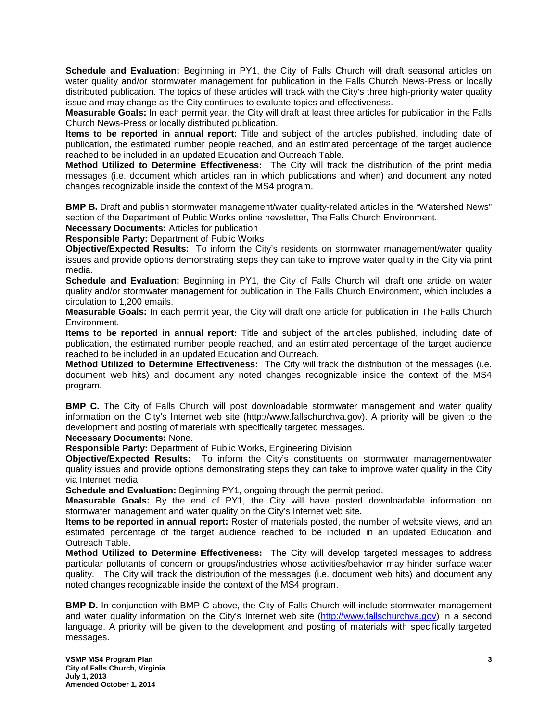**Schedule and Evaluation:** Beginning in PY1, the City of Falls Church will draft seasonal articles on water quality and/or stormwater management for publication in the Falls Church News-Press or locally distributed publication. The topics of these articles will track with the City's three high-priority water quality issue and may change as the City continues to evaluate topics and effectiveness.

**Measurable Goals:** In each permit year, the City will draft at least three articles for publication in the Falls Church News-Press or locally distributed publication.

**Items to be reported in annual report:** Title and subject of the articles published, including date of publication, the estimated number people reached, and an estimated percentage of the target audience reached to be included in an updated Education and Outreach Table.

**Method Utilized to Determine Effectiveness:** The City will track the distribution of the print media messages (i.e. document which articles ran in which publications and when) and document any noted changes recognizable inside the context of the MS4 program.

**BMP B.** Draft and publish stormwater management/water quality-related articles in the "Watershed News" section of the Department of Public Works online newsletter, The Falls Church Environment.

**Necessary Documents:** Articles for publication

**Responsible Party:** Department of Public Works

**Objective/Expected Results:** To inform the City's residents on stormwater management/water quality issues and provide options demonstrating steps they can take to improve water quality in the City via print media.

**Schedule and Evaluation:** Beginning in PY1, the City of Falls Church will draft one article on water quality and/or stormwater management for publication in The Falls Church Environment, which includes a circulation to 1,200 emails.

**Measurable Goals:** In each permit year, the City will draft one article for publication in The Falls Church Environment.

**Items to be reported in annual report:** Title and subject of the articles published, including date of publication, the estimated number people reached, and an estimated percentage of the target audience reached to be included in an updated Education and Outreach.

**Method Utilized to Determine Effectiveness:** The City will track the distribution of the messages (i.e. document web hits) and document any noted changes recognizable inside the context of the MS4 program.

**BMP C.** The City of Falls Church will post downloadable stormwater management and water quality information on the City's Internet web site (http://www.fallschurchva.gov). A priority will be given to the development and posting of materials with specifically targeted messages.

#### **Necessary Documents:** None.

**Responsible Party:** Department of Public Works, Engineering Division

**Objective/Expected Results:** To inform the City's constituents on stormwater management/water quality issues and provide options demonstrating steps they can take to improve water quality in the City via Internet media.

**Schedule and Evaluation:** Beginning PY1, ongoing through the permit period.

**Measurable Goals:** By the end of PY1, the City will have posted downloadable information on stormwater management and water quality on the City's Internet web site.

**Items to be reported in annual report:** Roster of materials posted, the number of website views, and an estimated percentage of the target audience reached to be included in an updated Education and Outreach Table.

**Method Utilized to Determine Effectiveness:** The City will develop targeted messages to address particular pollutants of concern or groups/industries whose activities/behavior may hinder surface water quality. The City will track the distribution of the messages (i.e. document web hits) and document any noted changes recognizable inside the context of the MS4 program.

**BMP D.** In conjunction with BMP C above, the City of Falls Church will include stormwater management and water quality information on the City's Internet web site [\(http://www.fallschurchva.gov\)](http://www.fallschurchva.gov/) in a second language. A priority will be given to the development and posting of materials with specifically targeted messages.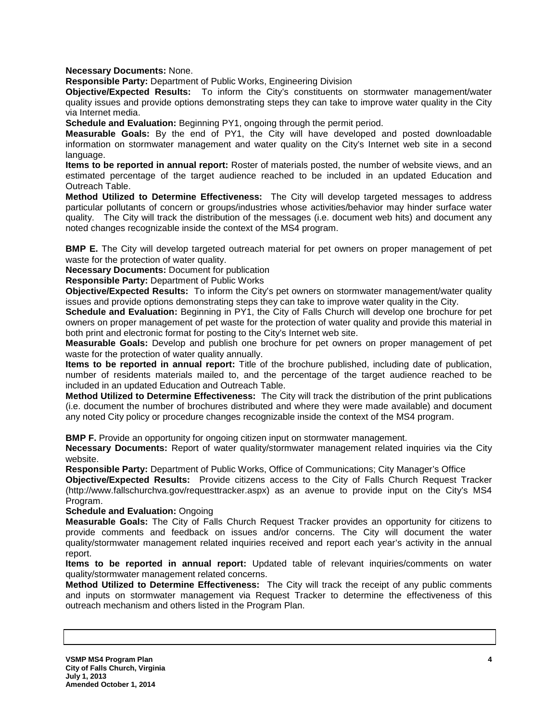**Necessary Documents:** None.

**Responsible Party:** Department of Public Works, Engineering Division

**Objective/Expected Results:** To inform the City's constituents on stormwater management/water quality issues and provide options demonstrating steps they can take to improve water quality in the City via Internet media.

**Schedule and Evaluation:** Beginning PY1, ongoing through the permit period.

**Measurable Goals:** By the end of PY1, the City will have developed and posted downloadable information on stormwater management and water quality on the City's Internet web site in a second language.

**Items to be reported in annual report:** Roster of materials posted, the number of website views, and an estimated percentage of the target audience reached to be included in an updated Education and Outreach Table.

**Method Utilized to Determine Effectiveness:** The City will develop targeted messages to address particular pollutants of concern or groups/industries whose activities/behavior may hinder surface water quality. The City will track the distribution of the messages (i.e. document web hits) and document any noted changes recognizable inside the context of the MS4 program.

**BMP E.** The City will develop targeted outreach material for pet owners on proper management of pet waste for the protection of water quality.

**Necessary Documents:** Document for publication

**Responsible Party:** Department of Public Works

**Objective/Expected Results:** To inform the City's pet owners on stormwater management/water quality issues and provide options demonstrating steps they can take to improve water quality in the City.

**Schedule and Evaluation:** Beginning in PY1, the City of Falls Church will develop one brochure for pet owners on proper management of pet waste for the protection of water quality and provide this material in both print and electronic format for posting to the City's Internet web site.

**Measurable Goals:** Develop and publish one brochure for pet owners on proper management of pet waste for the protection of water quality annually.

**Items to be reported in annual report:** Title of the brochure published, including date of publication, number of residents materials mailed to, and the percentage of the target audience reached to be included in an updated Education and Outreach Table.

**Method Utilized to Determine Effectiveness:** The City will track the distribution of the print publications (i.e. document the number of brochures distributed and where they were made available) and document any noted City policy or procedure changes recognizable inside the context of the MS4 program.

**BMP F.** Provide an opportunity for ongoing citizen input on stormwater management.

**Necessary Documents:** Report of water quality/stormwater management related inquiries via the City website.

**Responsible Party:** Department of Public Works, Office of Communications; City Manager's Office

**Objective/Expected Results:** Provide citizens access to the City of Falls Church Request Tracker (http://www.fallschurchva.gov/requesttracker.aspx) as an avenue to provide input on the City's MS4 Program.

**Schedule and Evaluation:** Ongoing

**Measurable Goals:** The City of Falls Church Request Tracker provides an opportunity for citizens to provide comments and feedback on issues and/or concerns. The City will document the water quality/stormwater management related inquiries received and report each year's activity in the annual report.

**Items to be reported in annual report:** Updated table of relevant inquiries/comments on water quality/stormwater management related concerns.

**Method Utilized to Determine Effectiveness:** The City will track the receipt of any public comments and inputs on stormwater management via Request Tracker to determine the effectiveness of this outreach mechanism and others listed in the Program Plan.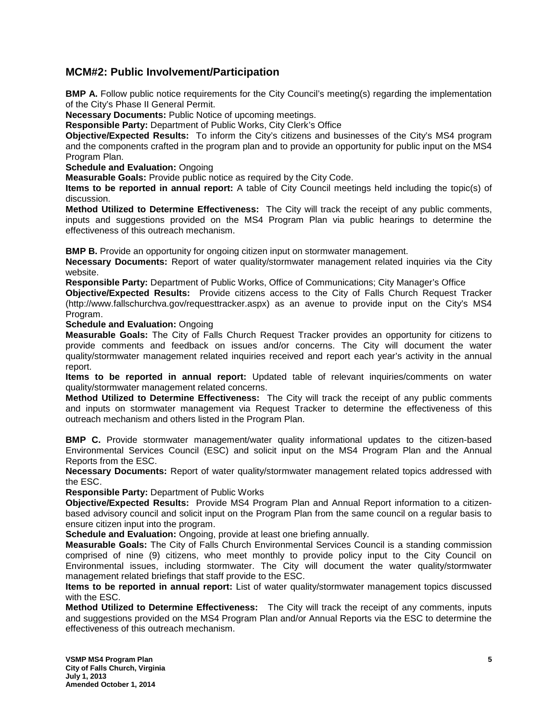# **MCM#2: Public Involvement/Participation**

**BMP A.** Follow public notice requirements for the City Council's meeting(s) regarding the implementation of the City's Phase II General Permit.

**Necessary Documents:** Public Notice of upcoming meetings.

**Responsible Party:** Department of Public Works, City Clerk's Office

**Objective/Expected Results:** To inform the City's citizens and businesses of the City's MS4 program and the components crafted in the program plan and to provide an opportunity for public input on the MS4 Program Plan.

**Schedule and Evaluation:** Ongoing

**Measurable Goals:** Provide public notice as required by the City Code.

**Items to be reported in annual report:** A table of City Council meetings held including the topic(s) of discussion.

**Method Utilized to Determine Effectiveness:** The City will track the receipt of any public comments, inputs and suggestions provided on the MS4 Program Plan via public hearings to determine the effectiveness of this outreach mechanism.

**BMP B.** Provide an opportunity for ongoing citizen input on stormwater management.

**Necessary Documents:** Report of water quality/stormwater management related inquiries via the City website.

**Responsible Party:** Department of Public Works, Office of Communications; City Manager's Office

**Objective/Expected Results:** Provide citizens access to the City of Falls Church Request Tracker (http://www.fallschurchva.gov/requesttracker.aspx) as an avenue to provide input on the City's MS4 Program.

**Schedule and Evaluation:** Ongoing

**Measurable Goals:** The City of Falls Church Request Tracker provides an opportunity for citizens to provide comments and feedback on issues and/or concerns. The City will document the water quality/stormwater management related inquiries received and report each year's activity in the annual report.

**Items to be reported in annual report:** Updated table of relevant inquiries/comments on water quality/stormwater management related concerns.

**Method Utilized to Determine Effectiveness:** The City will track the receipt of any public comments and inputs on stormwater management via Request Tracker to determine the effectiveness of this outreach mechanism and others listed in the Program Plan.

**BMP C.** Provide stormwater management/water quality informational updates to the citizen-based Environmental Services Council (ESC) and solicit input on the MS4 Program Plan and the Annual Reports from the ESC.

**Necessary Documents:** Report of water quality/stormwater management related topics addressed with the ESC.

**Responsible Party:** Department of Public Works

**Objective/Expected Results:** Provide MS4 Program Plan and Annual Report information to a citizenbased advisory council and solicit input on the Program Plan from the same council on a regular basis to ensure citizen input into the program.

**Schedule and Evaluation:** Ongoing, provide at least one briefing annually.

**Measurable Goals:** The City of Falls Church Environmental Services Council is a standing commission comprised of nine (9) citizens, who meet monthly to provide policy input to the City Council on Environmental issues, including stormwater. The City will document the water quality/stormwater management related briefings that staff provide to the ESC.

**Items to be reported in annual report:** List of water quality/stormwater management topics discussed with the ESC.

**Method Utilized to Determine Effectiveness:** The City will track the receipt of any comments, inputs and suggestions provided on the MS4 Program Plan and/or Annual Reports via the ESC to determine the effectiveness of this outreach mechanism.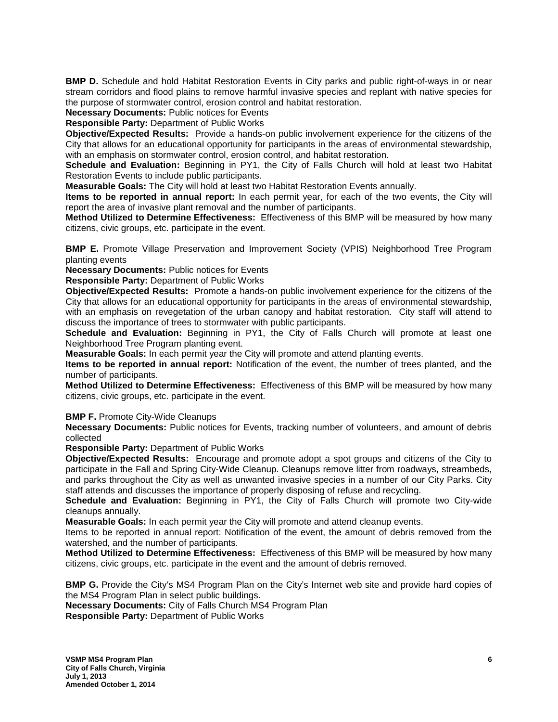**BMP D.** Schedule and hold Habitat Restoration Events in City parks and public right-of-ways in or near stream corridors and flood plains to remove harmful invasive species and replant with native species for the purpose of stormwater control, erosion control and habitat restoration.

**Necessary Documents:** Public notices for Events

**Responsible Party:** Department of Public Works

**Objective/Expected Results:** Provide a hands-on public involvement experience for the citizens of the City that allows for an educational opportunity for participants in the areas of environmental stewardship, with an emphasis on stormwater control, erosion control, and habitat restoration.

**Schedule and Evaluation:** Beginning in PY1, the City of Falls Church will hold at least two Habitat Restoration Events to include public participants.

**Measurable Goals:** The City will hold at least two Habitat Restoration Events annually.

**Items to be reported in annual report:** In each permit year, for each of the two events, the City will report the area of invasive plant removal and the number of participants.

**Method Utilized to Determine Effectiveness:** Effectiveness of this BMP will be measured by how many citizens, civic groups, etc. participate in the event.

**BMP E.** Promote Village Preservation and Improvement Society (VPIS) Neighborhood Tree Program planting events

**Necessary Documents:** Public notices for Events

**Responsible Party:** Department of Public Works

**Objective/Expected Results:** Promote a hands-on public involvement experience for the citizens of the City that allows for an educational opportunity for participants in the areas of environmental stewardship, with an emphasis on revegetation of the urban canopy and habitat restoration. City staff will attend to discuss the importance of trees to stormwater with public participants.

**Schedule and Evaluation:** Beginning in PY1, the City of Falls Church will promote at least one Neighborhood Tree Program planting event.

**Measurable Goals:** In each permit year the City will promote and attend planting events.

**Items to be reported in annual report:** Notification of the event, the number of trees planted, and the number of participants.

**Method Utilized to Determine Effectiveness:** Effectiveness of this BMP will be measured by how many citizens, civic groups, etc. participate in the event.

**BMP F. Promote City-Wide Cleanups** 

**Necessary Documents:** Public notices for Events, tracking number of volunteers, and amount of debris collected

**Responsible Party:** Department of Public Works

**Objective/Expected Results:** Encourage and promote adopt a spot groups and citizens of the City to participate in the Fall and Spring City-Wide Cleanup. Cleanups remove litter from roadways, streambeds, and parks throughout the City as well as unwanted invasive species in a number of our City Parks. City staff attends and discusses the importance of properly disposing of refuse and recycling.

**Schedule and Evaluation:** Beginning in PY1, the City of Falls Church will promote two City-wide cleanups annually.

**Measurable Goals:** In each permit year the City will promote and attend cleanup events.

Items to be reported in annual report: Notification of the event, the amount of debris removed from the watershed, and the number of participants.

**Method Utilized to Determine Effectiveness:** Effectiveness of this BMP will be measured by how many citizens, civic groups, etc. participate in the event and the amount of debris removed.

**BMP G.** Provide the City's MS4 Program Plan on the City's Internet web site and provide hard copies of the MS4 Program Plan in select public buildings.

**Necessary Documents:** City of Falls Church MS4 Program Plan **Responsible Party:** Department of Public Works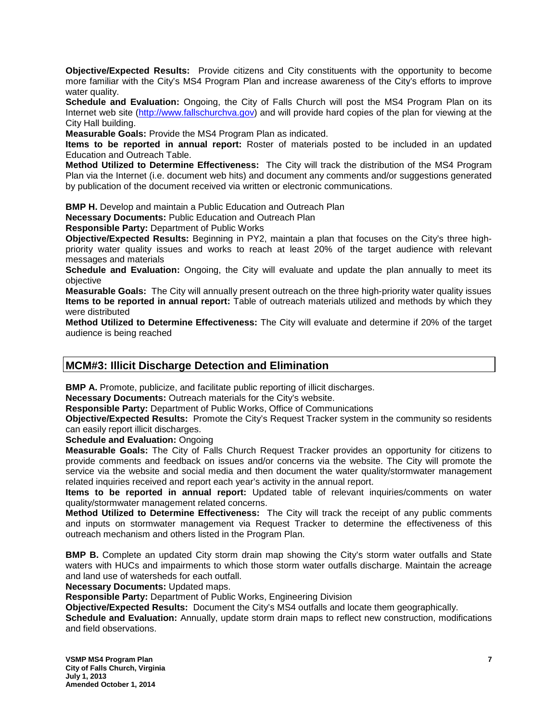**Objective/Expected Results:** Provide citizens and City constituents with the opportunity to become more familiar with the City's MS4 Program Plan and increase awareness of the City's efforts to improve water quality.

**Schedule and Evaluation:** Ongoing, the City of Falls Church will post the MS4 Program Plan on its Internet web site [\(http://www.fallschurchva.gov\)](http://www.fallschurchva.gov/) and will provide hard copies of the plan for viewing at the City Hall building.

**Measurable Goals:** Provide the MS4 Program Plan as indicated.

**Items to be reported in annual report:** Roster of materials posted to be included in an updated Education and Outreach Table.

**Method Utilized to Determine Effectiveness:** The City will track the distribution of the MS4 Program Plan via the Internet (i.e. document web hits) and document any comments and/or suggestions generated by publication of the document received via written or electronic communications.

**BMP H.** Develop and maintain a Public Education and Outreach Plan

**Necessary Documents:** Public Education and Outreach Plan

**Responsible Party:** Department of Public Works

**Objective/Expected Results:** Beginning in PY2, maintain a plan that focuses on the City's three highpriority water quality issues and works to reach at least 20% of the target audience with relevant messages and materials

**Schedule and Evaluation:** Ongoing, the City will evaluate and update the plan annually to meet its objective

**Measurable Goals:** The City will annually present outreach on the three high-priority water quality issues **Items to be reported in annual report:** Table of outreach materials utilized and methods by which they were distributed

**Method Utilized to Determine Effectiveness:** The City will evaluate and determine if 20% of the target audience is being reached

## **MCM#3: Illicit Discharge Detection and Elimination**

**BMP A.** Promote, publicize, and facilitate public reporting of illicit discharges.

**Necessary Documents:** Outreach materials for the City's website.

**Responsible Party:** Department of Public Works, Office of Communications

**Objective/Expected Results:** Promote the City's Request Tracker system in the community so residents can easily report illicit discharges.

**Schedule and Evaluation:** Ongoing

**Measurable Goals:** The City of Falls Church Request Tracker provides an opportunity for citizens to provide comments and feedback on issues and/or concerns via the website. The City will promote the service via the website and social media and then document the water quality/stormwater management related inquiries received and report each year's activity in the annual report.

**Items to be reported in annual report:** Updated table of relevant inquiries/comments on water quality/stormwater management related concerns.

**Method Utilized to Determine Effectiveness:** The City will track the receipt of any public comments and inputs on stormwater management via Request Tracker to determine the effectiveness of this outreach mechanism and others listed in the Program Plan.

**BMP B.** Complete an updated City storm drain map showing the City's storm water outfalls and State waters with HUCs and impairments to which those storm water outfalls discharge. Maintain the acreage and land use of watersheds for each outfall.

**Necessary Documents:** Updated maps.

**Responsible Party:** Department of Public Works, Engineering Division

**Objective/Expected Results:** Document the City's MS4 outfalls and locate them geographically.

**Schedule and Evaluation:** Annually, update storm drain maps to reflect new construction, modifications and field observations.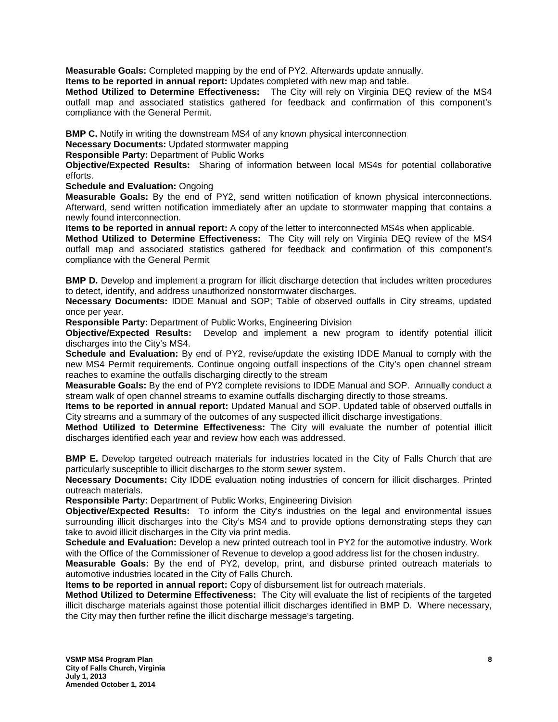**Measurable Goals:** Completed mapping by the end of PY2. Afterwards update annually.

**Items to be reported in annual report:** Updates completed with new map and table.

**Method Utilized to Determine Effectiveness:** The City will rely on Virginia DEQ review of the MS4 outfall map and associated statistics gathered for feedback and confirmation of this component's compliance with the General Permit.

**BMP C.** Notify in writing the downstream MS4 of any known physical interconnection

**Necessary Documents:** Updated stormwater mapping

**Responsible Party:** Department of Public Works

**Objective/Expected Results:** Sharing of information between local MS4s for potential collaborative efforts.

**Schedule and Evaluation:** Ongoing

**Measurable Goals:** By the end of PY2, send written notification of known physical interconnections. Afterward, send written notification immediately after an update to stormwater mapping that contains a newly found interconnection.

**Items to be reported in annual report:** A copy of the letter to interconnected MS4s when applicable.

**Method Utilized to Determine Effectiveness:** The City will rely on Virginia DEQ review of the MS4 outfall map and associated statistics gathered for feedback and confirmation of this component's compliance with the General Permit

**BMP D.** Develop and implement a program for illicit discharge detection that includes written procedures to detect, identify, and address unauthorized nonstormwater discharges.

**Necessary Documents:** IDDE Manual and SOP; Table of observed outfalls in City streams, updated once per year.

**Responsible Party:** Department of Public Works, Engineering Division

**Objective/Expected Results:** Develop and implement a new program to identify potential illicit discharges into the City's MS4.

**Schedule and Evaluation:** By end of PY2, revise/update the existing IDDE Manual to comply with the new MS4 Permit requirements. Continue ongoing outfall inspections of the City's open channel stream reaches to examine the outfalls discharging directly to the stream

**Measurable Goals:** By the end of PY2 complete revisions to IDDE Manual and SOP. Annually conduct a stream walk of open channel streams to examine outfalls discharging directly to those streams.

**Items to be reported in annual report:** Updated Manual and SOP. Updated table of observed outfalls in City streams and a summary of the outcomes of any suspected illicit discharge investigations.

**Method Utilized to Determine Effectiveness:** The City will evaluate the number of potential illicit discharges identified each year and review how each was addressed.

**BMP E.** Develop targeted outreach materials for industries located in the City of Falls Church that are particularly susceptible to illicit discharges to the storm sewer system.

**Necessary Documents:** City IDDE evaluation noting industries of concern for illicit discharges. Printed outreach materials.

**Responsible Party:** Department of Public Works, Engineering Division

**Objective/Expected Results:** To inform the City's industries on the legal and environmental issues surrounding illicit discharges into the City's MS4 and to provide options demonstrating steps they can take to avoid illicit discharges in the City via print media.

**Schedule and Evaluation:** Develop a new printed outreach tool in PY2 for the automotive industry. Work with the Office of the Commissioner of Revenue to develop a good address list for the chosen industry.

**Measurable Goals:** By the end of PY2, develop, print, and disburse printed outreach materials to automotive industries located in the City of Falls Church.

**Items to be reported in annual report:** Copy of disbursement list for outreach materials.

**Method Utilized to Determine Effectiveness:** The City will evaluate the list of recipients of the targeted illicit discharge materials against those potential illicit discharges identified in BMP D. Where necessary, the City may then further refine the illicit discharge message's targeting.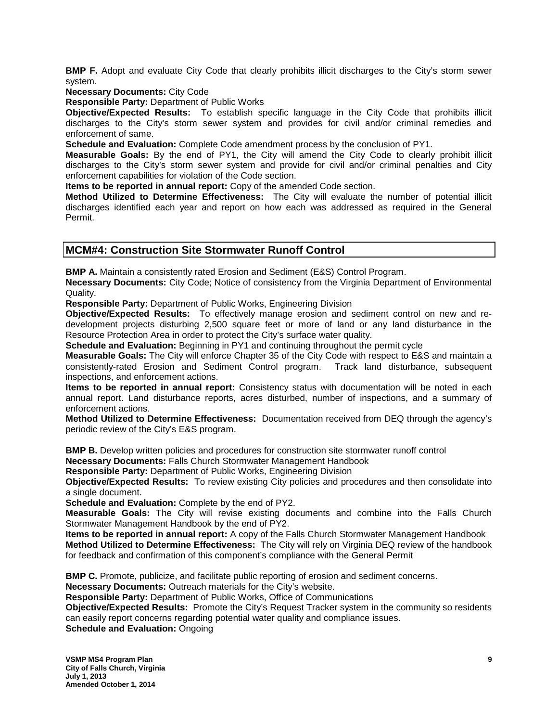**BMP F.** Adopt and evaluate City Code that clearly prohibits illicit discharges to the City's storm sewer system.

**Necessary Documents:** City Code

**Responsible Party:** Department of Public Works

**Objective/Expected Results:** To establish specific language in the City Code that prohibits illicit discharges to the City's storm sewer system and provides for civil and/or criminal remedies and enforcement of same.

**Schedule and Evaluation:** Complete Code amendment process by the conclusion of PY1.

**Measurable Goals:** By the end of PY1, the City will amend the City Code to clearly prohibit illicit discharges to the City's storm sewer system and provide for civil and/or criminal penalties and City enforcement capabilities for violation of the Code section.

**Items to be reported in annual report:** Copy of the amended Code section.

**Method Utilized to Determine Effectiveness:** The City will evaluate the number of potential illicit discharges identified each year and report on how each was addressed as required in the General Permit.

## **MCM#4: Construction Site Stormwater Runoff Control**

**BMP A.** Maintain a consistently rated Erosion and Sediment (E&S) Control Program.

**Necessary Documents:** City Code; Notice of consistency from the Virginia Department of Environmental Quality.

**Responsible Party:** Department of Public Works, Engineering Division

**Objective/Expected Results:** To effectively manage erosion and sediment control on new and redevelopment projects disturbing 2,500 square feet or more of land or any land disturbance in the Resource Protection Area in order to protect the City's surface water quality.

**Schedule and Evaluation:** Beginning in PY1 and continuing throughout the permit cycle

**Measurable Goals:** The City will enforce Chapter 35 of the City Code with respect to E&S and maintain a consistently-rated Erosion and Sediment Control program. Track land disturbance, subsequent inspections, and enforcement actions.

**Items to be reported in annual report:** Consistency status with documentation will be noted in each annual report. Land disturbance reports, acres disturbed, number of inspections, and a summary of enforcement actions.

**Method Utilized to Determine Effectiveness:** Documentation received from DEQ through the agency's periodic review of the City's E&S program.

**BMP B.** Develop written policies and procedures for construction site stormwater runoff control

**Necessary Documents:** Falls Church Stormwater Management Handbook

**Responsible Party:** Department of Public Works, Engineering Division

**Objective/Expected Results:** To review existing City policies and procedures and then consolidate into a single document.

**Schedule and Evaluation:** Complete by the end of PY2.

**Measurable Goals:** The City will revise existing documents and combine into the Falls Church Stormwater Management Handbook by the end of PY2.

**Items to be reported in annual report:** A copy of the Falls Church Stormwater Management Handbook

**Method Utilized to Determine Effectiveness:** The City will rely on Virginia DEQ review of the handbook for feedback and confirmation of this component's compliance with the General Permit

**BMP C.** Promote, publicize, and facilitate public reporting of erosion and sediment concerns.

**Necessary Documents:** Outreach materials for the City's website.

**Responsible Party:** Department of Public Works, Office of Communications

**Objective/Expected Results:** Promote the City's Request Tracker system in the community so residents can easily report concerns regarding potential water quality and compliance issues.

**Schedule and Evaluation:** Ongoing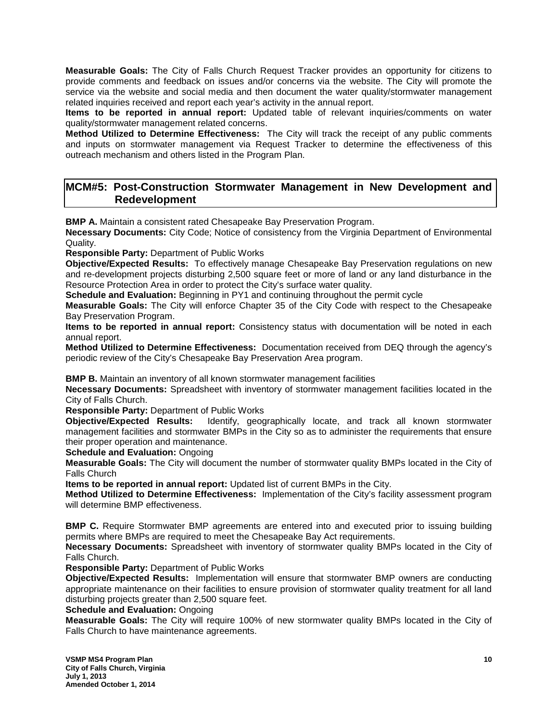**Measurable Goals:** The City of Falls Church Request Tracker provides an opportunity for citizens to provide comments and feedback on issues and/or concerns via the website. The City will promote the service via the website and social media and then document the water quality/stormwater management related inquiries received and report each year's activity in the annual report.

**Items to be reported in annual report:** Updated table of relevant inquiries/comments on water quality/stormwater management related concerns.

**Method Utilized to Determine Effectiveness:** The City will track the receipt of any public comments and inputs on stormwater management via Request Tracker to determine the effectiveness of this outreach mechanism and others listed in the Program Plan.

## **MCM#5: Post-Construction Stormwater Management in New Development and Redevelopment**

**BMP A.** Maintain a consistent rated Chesapeake Bay Preservation Program.

**Necessary Documents:** City Code; Notice of consistency from the Virginia Department of Environmental Quality.

**Responsible Party:** Department of Public Works

**Objective/Expected Results:** To effectively manage Chesapeake Bay Preservation regulations on new and re-development projects disturbing 2,500 square feet or more of land or any land disturbance in the Resource Protection Area in order to protect the City's surface water quality.

**Schedule and Evaluation:** Beginning in PY1 and continuing throughout the permit cycle

**Measurable Goals:** The City will enforce Chapter 35 of the City Code with respect to the Chesapeake Bay Preservation Program.

**Items to be reported in annual report:** Consistency status with documentation will be noted in each annual report.

**Method Utilized to Determine Effectiveness:** Documentation received from DEQ through the agency's periodic review of the City's Chesapeake Bay Preservation Area program.

**BMP B.** Maintain an inventory of all known stormwater management facilities

**Necessary Documents:** Spreadsheet with inventory of stormwater management facilities located in the City of Falls Church.

**Responsible Party:** Department of Public Works

**Objective/Expected Results:** Identify, geographically locate, and track all known stormwater management facilities and stormwater BMPs in the City so as to administer the requirements that ensure their proper operation and maintenance.

**Schedule and Evaluation:** Ongoing

**Measurable Goals:** The City will document the number of stormwater quality BMPs located in the City of Falls Church

**Items to be reported in annual report:** Updated list of current BMPs in the City.

**Method Utilized to Determine Effectiveness:** Implementation of the City's facility assessment program will determine BMP effectiveness.

**BMP C.** Require Stormwater BMP agreements are entered into and executed prior to issuing building permits where BMPs are required to meet the Chesapeake Bay Act requirements.

**Necessary Documents:** Spreadsheet with inventory of stormwater quality BMPs located in the City of Falls Church.

**Responsible Party:** Department of Public Works

**Objective/Expected Results:** Implementation will ensure that stormwater BMP owners are conducting appropriate maintenance on their facilities to ensure provision of stormwater quality treatment for all land disturbing projects greater than 2,500 square feet.

**Schedule and Evaluation:** Ongoing

**Measurable Goals:** The City will require 100% of new stormwater quality BMPs located in the City of Falls Church to have maintenance agreements.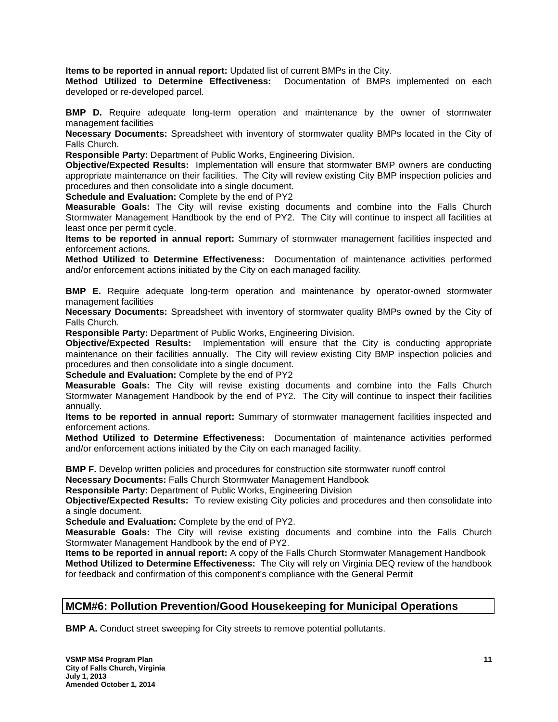**Items to be reported in annual report:** Updated list of current BMPs in the City.

**Method Utilized to Determine Effectiveness:** Documentation of BMPs implemented on each developed or re-developed parcel.

**BMP D.** Require adequate long-term operation and maintenance by the owner of stormwater management facilities

**Necessary Documents:** Spreadsheet with inventory of stormwater quality BMPs located in the City of Falls Church.

**Responsible Party:** Department of Public Works, Engineering Division.

**Objective/Expected Results:** Implementation will ensure that stormwater BMP owners are conducting appropriate maintenance on their facilities. The City will review existing City BMP inspection policies and procedures and then consolidate into a single document.

**Schedule and Evaluation:** Complete by the end of PY2

**Measurable Goals:** The City will revise existing documents and combine into the Falls Church Stormwater Management Handbook by the end of PY2. The City will continue to inspect all facilities at least once per permit cycle.

**Items to be reported in annual report:** Summary of stormwater management facilities inspected and enforcement actions.

**Method Utilized to Determine Effectiveness:** Documentation of maintenance activities performed and/or enforcement actions initiated by the City on each managed facility.

**BMP E.** Require adequate long-term operation and maintenance by operator-owned stormwater management facilities

**Necessary Documents:** Spreadsheet with inventory of stormwater quality BMPs owned by the City of Falls Church.

**Responsible Party:** Department of Public Works, Engineering Division.

**Objective/Expected Results:** Implementation will ensure that the City is conducting appropriate maintenance on their facilities annually. The City will review existing City BMP inspection policies and procedures and then consolidate into a single document.

**Schedule and Evaluation:** Complete by the end of PY2

**Measurable Goals:** The City will revise existing documents and combine into the Falls Church Stormwater Management Handbook by the end of PY2. The City will continue to inspect their facilities annually.

**Items to be reported in annual report:** Summary of stormwater management facilities inspected and enforcement actions.

**Method Utilized to Determine Effectiveness:** Documentation of maintenance activities performed and/or enforcement actions initiated by the City on each managed facility.

**BMP F.** Develop written policies and procedures for construction site stormwater runoff control

**Necessary Documents:** Falls Church Stormwater Management Handbook

**Responsible Party:** Department of Public Works, Engineering Division

**Objective/Expected Results:** To review existing City policies and procedures and then consolidate into a single document.

**Schedule and Evaluation:** Complete by the end of PY2.

**Measurable Goals:** The City will revise existing documents and combine into the Falls Church Stormwater Management Handbook by the end of PY2.

**Items to be reported in annual report:** A copy of the Falls Church Stormwater Management Handbook **Method Utilized to Determine Effectiveness:** The City will rely on Virginia DEQ review of the handbook for feedback and confirmation of this component's compliance with the General Permit

## **MCM#6: Pollution Prevention/Good Housekeeping for Municipal Operations**

**BMP A.** Conduct street sweeping for City streets to remove potential pollutants.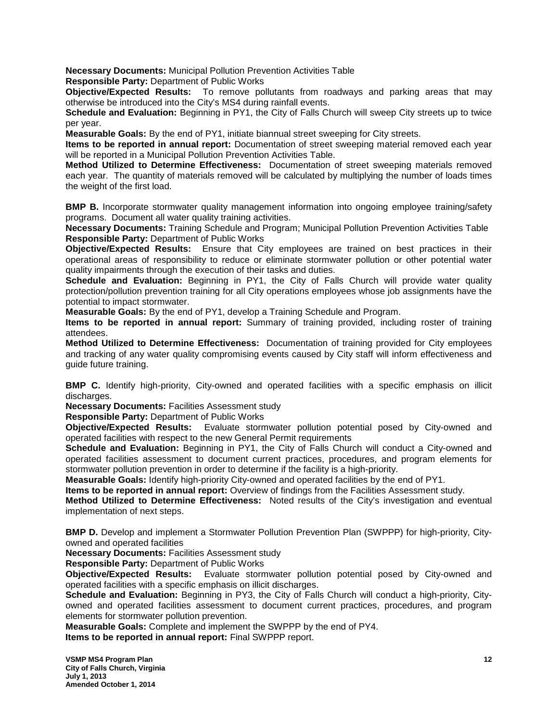**Necessary Documents:** Municipal Pollution Prevention Activities Table

**Responsible Party:** Department of Public Works

**Objective/Expected Results:** To remove pollutants from roadways and parking areas that may otherwise be introduced into the City's MS4 during rainfall events.

**Schedule and Evaluation:** Beginning in PY1, the City of Falls Church will sweep City streets up to twice per year.

**Measurable Goals:** By the end of PY1, initiate biannual street sweeping for City streets.

**Items to be reported in annual report:** Documentation of street sweeping material removed each year will be reported in a Municipal Pollution Prevention Activities Table.

**Method Utilized to Determine Effectiveness:** Documentation of street sweeping materials removed each year. The quantity of materials removed will be calculated by multiplying the number of loads times the weight of the first load.

**BMP B.** Incorporate stormwater quality management information into ongoing employee training/safety programs. Document all water quality training activities.

**Necessary Documents:** Training Schedule and Program; Municipal Pollution Prevention Activities Table **Responsible Party:** Department of Public Works

**Objective/Expected Results:** Ensure that City employees are trained on best practices in their operational areas of responsibility to reduce or eliminate stormwater pollution or other potential water quality impairments through the execution of their tasks and duties.

**Schedule and Evaluation:** Beginning in PY1, the City of Falls Church will provide water quality protection/pollution prevention training for all City operations employees whose job assignments have the potential to impact stormwater.

**Measurable Goals:** By the end of PY1, develop a Training Schedule and Program.

**Items to be reported in annual report:** Summary of training provided, including roster of training attendees.

**Method Utilized to Determine Effectiveness:** Documentation of training provided for City employees and tracking of any water quality compromising events caused by City staff will inform effectiveness and guide future training.

**BMP C.** Identify high-priority, City-owned and operated facilities with a specific emphasis on illicit discharges.

**Necessary Documents:** Facilities Assessment study

**Responsible Party:** Department of Public Works

**Objective/Expected Results:** Evaluate stormwater pollution potential posed by City-owned and operated facilities with respect to the new General Permit requirements

**Schedule and Evaluation:** Beginning in PY1, the City of Falls Church will conduct a City-owned and operated facilities assessment to document current practices, procedures, and program elements for stormwater pollution prevention in order to determine if the facility is a high-priority.

**Measurable Goals:** Identify high-priority City-owned and operated facilities by the end of PY1.

**Items to be reported in annual report:** Overview of findings from the Facilities Assessment study.

**Method Utilized to Determine Effectiveness:** Noted results of the City's investigation and eventual implementation of next steps.

**BMP D.** Develop and implement a Stormwater Pollution Prevention Plan (SWPPP) for high-priority, Cityowned and operated facilities

**Necessary Documents:** Facilities Assessment study

**Responsible Party:** Department of Public Works

**Objective/Expected Results:** Evaluate stormwater pollution potential posed by City-owned and operated facilities with a specific emphasis on illicit discharges.

**Schedule and Evaluation:** Beginning in PY3, the City of Falls Church will conduct a high-priority, Cityowned and operated facilities assessment to document current practices, procedures, and program elements for stormwater pollution prevention.

**Measurable Goals:** Complete and implement the SWPPP by the end of PY4.

**Items to be reported in annual report:** Final SWPPP report.